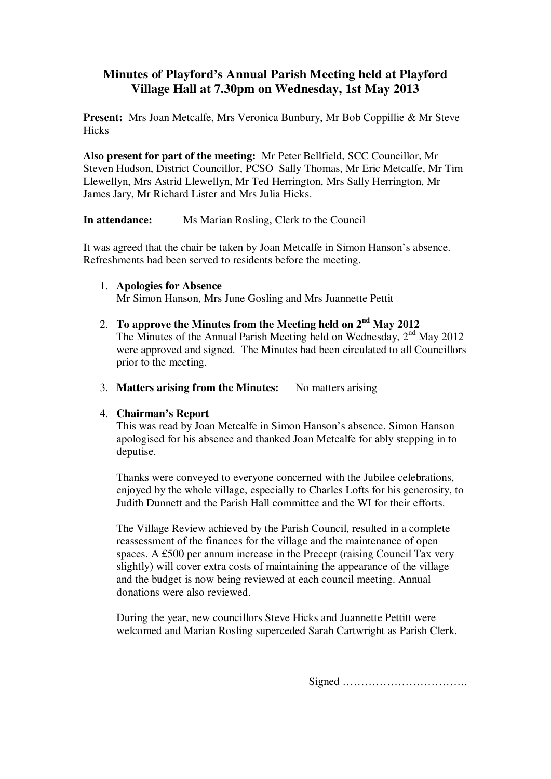# **Minutes of Playford's Annual Parish Meeting held at Playford Village Hall at 7.30pm on Wednesday, 1st May 2013**

**Present:** Mrs Joan Metcalfe, Mrs Veronica Bunbury, Mr Bob Coppillie & Mr Steve **Hicks** 

**Also present for part of the meeting:** Mr Peter Bellfield, SCC Councillor, Mr Steven Hudson, District Councillor, PCSO Sally Thomas, Mr Eric Metcalfe, Mr Tim Llewellyn, Mrs Astrid Llewellyn, Mr Ted Herrington, Mrs Sally Herrington, Mr James Jary, Mr Richard Lister and Mrs Julia Hicks.

## **In attendance:** Ms Marian Rosling, Clerk to the Council

It was agreed that the chair be taken by Joan Metcalfe in Simon Hanson's absence. Refreshments had been served to residents before the meeting.

- 1. **Apologies for Absence** Mr Simon Hanson, Mrs June Gosling and Mrs Juannette Pettit
- 2. **To approve the Minutes from the Meeting held on 2nd May 2012** The Minutes of the Annual Parish Meeting held on Wednesday,  $2<sup>nd</sup>$  May 2012 were approved and signed. The Minutes had been circulated to all Councillors prior to the meeting.
- 3. **Matters arising from the Minutes:** No matters arising

## 4. **Chairman's Report**

This was read by Joan Metcalfe in Simon Hanson's absence. Simon Hanson apologised for his absence and thanked Joan Metcalfe for ably stepping in to deputise.

Thanks were conveyed to everyone concerned with the Jubilee celebrations, enjoyed by the whole village, especially to Charles Lofts for his generosity, to Judith Dunnett and the Parish Hall committee and the WI for their efforts.

The Village Review achieved by the Parish Council, resulted in a complete reassessment of the finances for the village and the maintenance of open spaces. A £500 per annum increase in the Precept (raising Council Tax very slightly) will cover extra costs of maintaining the appearance of the village and the budget is now being reviewed at each council meeting. Annual donations were also reviewed.

During the year, new councillors Steve Hicks and Juannette Pettitt were welcomed and Marian Rosling superceded Sarah Cartwright as Parish Clerk.

Signed …………………………….